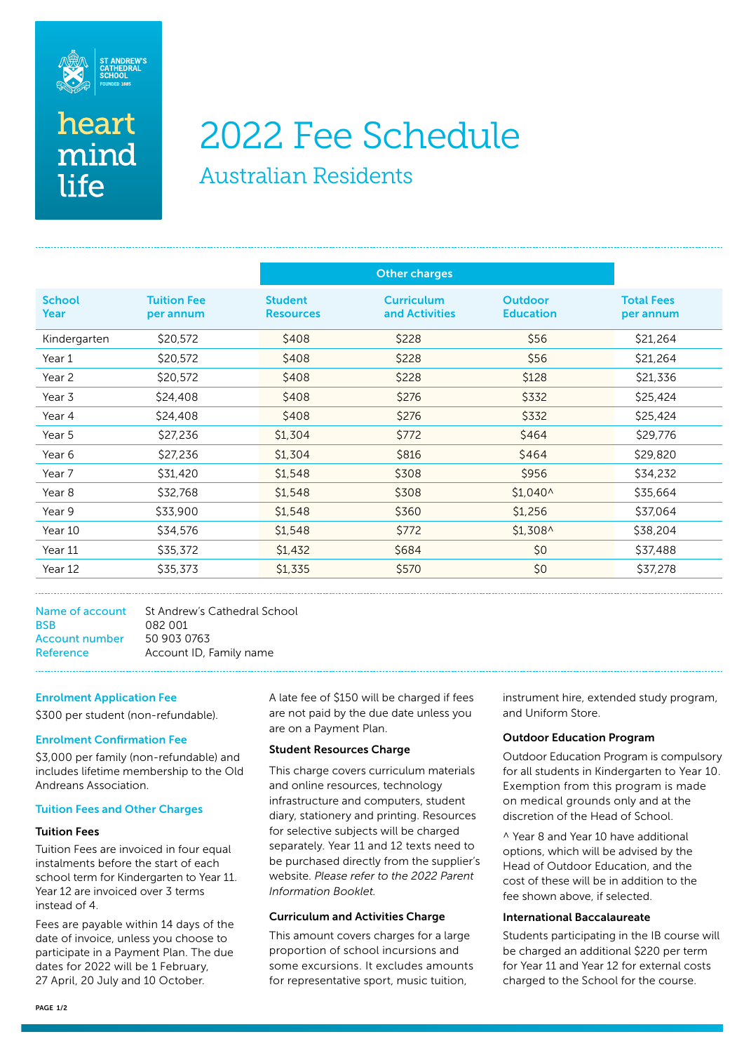

# heart mind life

# 2022 Fee Schedule

Australian Residents

|                       |                                 |                                    | <b>Other charges</b>                |                                    |                                |
|-----------------------|---------------------------------|------------------------------------|-------------------------------------|------------------------------------|--------------------------------|
| <b>School</b><br>Year | <b>Tuition Fee</b><br>per annum | <b>Student</b><br><b>Resources</b> | <b>Curriculum</b><br>and Activities | <b>Outdoor</b><br><b>Education</b> | <b>Total Fees</b><br>per annum |
| Kindergarten          | \$20,572                        | \$408                              | \$228                               | \$56                               | \$21,264                       |
| Year 1                | \$20,572                        | \$408                              | \$228                               | \$56                               | \$21,264                       |
| Year 2                | \$20,572                        | \$408                              | \$228                               | \$128                              | \$21,336                       |
| Year 3                | \$24,408                        | \$408                              | \$276                               | \$332                              | \$25,424                       |
| Year 4                | \$24,408                        | \$408                              | \$276                               | \$332                              | \$25,424                       |
| Year 5                | \$27,236                        | \$1,304                            | \$772                               | \$464                              | \$29,776                       |
| Year 6                | \$27,236                        | \$1,304                            | \$816                               | \$464                              | \$29,820                       |
| Year 7                | \$31,420                        | \$1,548                            | \$308                               | \$956                              | \$34,232                       |
| Year 8                | \$32,768                        | \$1,548                            | \$308                               | $$1,040^{\circ}$$                  | \$35,664                       |
| Year 9                | \$33,900                        | \$1,548                            | \$360                               | \$1,256                            | \$37,064                       |
| Year 10               | \$34,576                        | \$1,548                            | \$772                               | $$1,308^{\circ}$$                  | \$38,204                       |
| Year 11               | \$35,372                        | \$1,432                            | \$684                               | \$0                                | \$37,488                       |
| Year 12               | \$35,373                        | \$1,335                            | \$570                               | \$0                                | \$37,278                       |

Name of account St Andrew's Cathedral School BSB 082 001 Account number 50 903 0763 Reference Account ID, Family name

# Enrolment Application Fee

\$300 per student (non-refundable).

# Enrolment Confirmation Fee

\$3,000 per family (non-refundable) and includes lifetime membership to the Old Andreans Association.

#### Tuition Fees and Other Charges

#### Tuition Fees

Tuition Fees are invoiced in four equal instalments before the start of each school term for Kindergarten to Year 11. Year 12 are invoiced over 3 terms instead of 4.

Fees are payable within 14 days of the date of invoice, unless you choose to participate in a Payment Plan. The due dates for 2022 will be 1 February, 27 April, 20 July and 10 October.

A late fee of \$150 will be charged if fees are not paid by the due date unless you are on a Payment Plan.

# Student Resources Charge

This charge covers curriculum materials and online resources, technology infrastructure and computers, student diary, stationery and printing. Resources for selective subjects will be charged separately. Year 11 and 12 texts need to be purchased directly from the supplier's website. *Please refer to the 2022 Parent Information Booklet.* 

# Curriculum and Activities Charge

This amount covers charges for a large proportion of school incursions and some excursions. It excludes amounts for representative sport, music tuition,

instrument hire, extended study program, and Uniform Store.

# Outdoor Education Program

Outdoor Education Program is compulsory for all students in Kindergarten to Year 10. Exemption from this program is made on medical grounds only and at the discretion of the Head of School.

^ Year 8 and Year 10 have additional options, which will be advised by the Head of Outdoor Education, and the cost of these will be in addition to the fee shown above, if selected.

#### International Baccalaureate

Students participating in the IB course will be charged an additional \$220 per term for Year 11 and Year 12 for external costs charged to the School for the course.